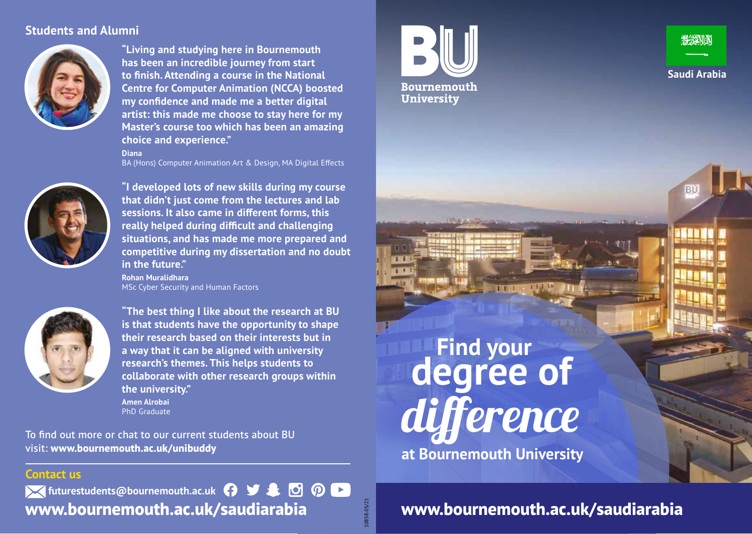### **Students and Alumni**



**"Living and studying here in Bournemouth has been an incredible journey from start to finish. Attending a course in the National Centre for Computer Animation (NCCA) boosted my confidence and made me a better digital artist: this made me choose to stay here for my Master's course too which has been an amazing choice and experience."**

#### **Diana**

BA (Hons) Computer Animation Art & Design, MA Digital Effects



**"I developed lots of new skills during my course that didn't just come from the lectures and lab sessions. It also came in different forms, this really helped during difficult and challenging situations, and has made me more prepared and competitive during my dissertation and no doubt in the future."**

**Rohan Muralidhara MSc Cyber Security and Human Factors** 



**"The best thing I like about the research at BU is that students have the opportunity to shape their research based on their interests but in a way that it can be aligned with university research's themes. This helps students to collaborate with other research groups within the university." Amen Alrobai** PhD Graduate

To find out more or chat to our current students about BU visit: **www.bournemouth.ac.uk/unibuddy**

#### **Contact us**

*K* futurestudents@bournemouth.ac.uk **A B** & **B O D [www.bournemouth.ac.uk/](http://www.bournemouth.ac.uk/India)saudiarabia**





BU

**Find your at Bournemouth University** difference **degree of**

10858-05/21

0858-05/21

**[www.bournemouth.ac.uk/s](http://www.bournemouth.ac.uk/India)audiarabia**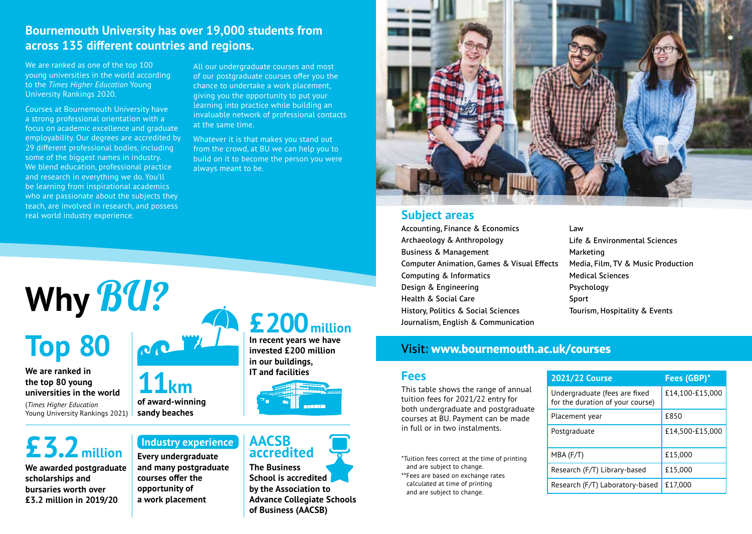### **Bournemouth University has over 19,000 students from across 135 different countries and regions.**

We are ranked as one of the top 100 young universities in the world according to the *Times Higher Education* Young University Rankings 2020.

Courses at Bournemouth University have a strong professional orientation with a focus on academic excellence and graduate employability. Our degrees are accredited by 29 different professional bodies, including some of the biggest names in industry. We blend education, professional practice and research in everything we do. You'll be learning from inspirational academics who are passionate about the subjects they teach, are involved in research, and possess real world industry experience.

**Why** BU?

All our undergraduate courses and most of our postgraduate courses offer you the chance to undertake a work placement, giving you the opportunity to put your learning into practice while building an invaluable network of professional contacts at the same time.

Whatever it is that makes you stand out from the crowd, at BU we can help you to build on it to become the person you were always meant to be.

## **£200million In recent years we have**

**invested £200 million in our buildings, IT and facilities**



## **£3.2million**

**Top 80**

**We are ranked in the top 80 young universities in the world** (*Times Higher Education* Young University Rankings 2021)

**We awarded postgraduate scholarships and bursaries worth over £3.2 million in 2019/20**

## **Industry experience AACSB**

**Every undergraduate and many postgraduate courses offer the opportunity of a work placement**

**11km**

**of award-winning sandy beaches**

**The Business School is accredited by the Association to Advance Collegiate Schools of Business (AACSB) accredited** 



#### **Subject areas**

Accounting, Finance & Economics Archaeology & Anthropology Business & Management Computer Animation, Games & Visual Effects Computing & Informatics Design & Engineering Health & Social Care History, Politics & Social Sciences Journalism, English & Communication

Law Life & Environmental Sciences Marketing Media, Film, TV & Music Production Medical Sciences Psychology Sport Tourism, Hospitality & Events

#### Visit: **[www.bournemouth.ac.uk/courses](http://www.bournemouth.ac.uk/courses)**

#### **Fees**

This table shows the range of annual tuition fees for 2021/22 entry for both undergraduate and postgraduate courses at BU. Payment can be made in full or in two instalments.

- \*Tuition fees correct at the time of printing and are subject to change.
- \*\*Fees are based on exchange rates calculated at time of printing and are subject to change.

| <b>2021/22 Course</b>                                             | Fees (GBP)*     |
|-------------------------------------------------------------------|-----------------|
| Undergraduate (fees are fixed<br>for the duration of your course) | £14,100-£15,000 |
| Placement year                                                    | £850            |
| Postgraduate                                                      | £14,500-£15,000 |
| $MBA$ (F/T)                                                       | £15,000         |
| Research (F/T) Library-based                                      | £15,000         |
| Research (F/T) Laboratory-based                                   | £17,000         |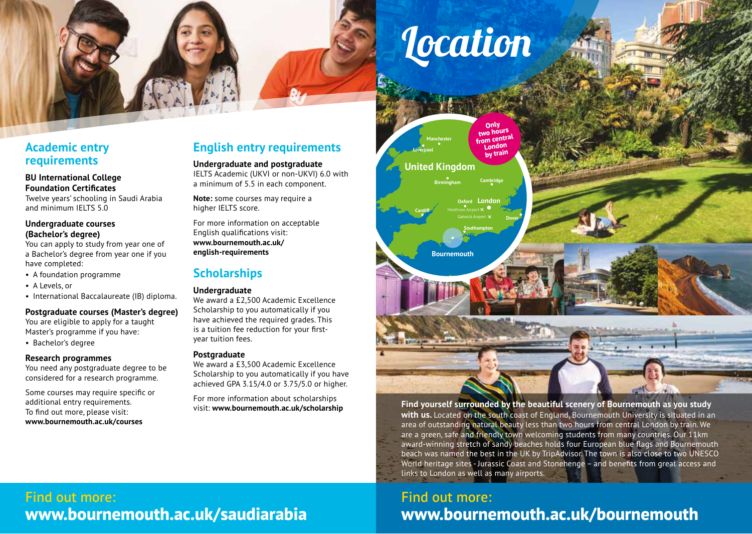# **Location**

### **Academic entry requirements**

#### **BU International College Foundation Certificates**

Twelve years' schooling in Saudi Arabia and minimum IELTS 5.0

#### **Undergraduate courses (Bachelor's degree)**

You can apply to study from year one of a Bachelor's degree from year one if you have completed:

- A foundation programme
- A Levels, or
- International Baccalaureate (IB) diploma.

#### **Postgraduate courses (Master's degree)**

You are eligible to apply for a taught Master's programme if you have:

• Bachelor's degree

#### **Research programmes**

You need any postgraduate degree to be considered for a research programme.

Some courses may require specific or additional entry requirements. To find out more, please visit: **[www.bournemouth.ac.uk/courses](http://www.bournemouth.ac.uk/courses)**

## **English entry requirements**

**Undergraduate and postgraduate** IELTS Academic (UKVI or non-UKVI) 6.0 with a minimum of 5.5 in each component.

**Note:** some courses may require a higher IELTS score.

For more information on acceptable English qualifications visit: **[www.bournemouth.ac.uk/](http://www.bournemouth.ac.uk/english-requirements)  [english-requirements](http://www.bournemouth.ac.uk/english-requirements)**

## **Scholarships**

#### **Undergraduate**

We award a £2,500 Academic Excellence Scholarship to you automatically if you have achieved the required grades. This is a tuition fee reduction for your firstyear tuition fees.

#### **Postgraduate**

We award a £3,500 Academic Excellence Scholarship to you automatically if you have achieved GPA 3.15/4.0 or 3.75/5.0 or higher.

For more information about scholarships visit: **[www.bournemouth.ac.uk/scholarship](http://www.bournemouth.ac.uk/scholarship)**



#### **Find yourself surrounded by the beautiful scenery of Bournemouth as you study with us.** Located on the south coast of England, Bournemouth University is situated in an area of outstanding natural beauty less than two hours from central London by train. We are a green, safe and friendly town welcoming students from many countries. Our 11km award-winning stretch of sandy beaches holds four European blue flags and Bournemouth beach was named the best in the UK by TripAdvisor. The town is also close to two UNESCO World heritage sites - Jurassic Coast and Stonehenge – and benefits from great access and links to London as well as many airports.

## Find out more: **[www.bournemouth.ac.uk/bournemouth](http://www.bournemouth.ac.uk/bournemouth)**

## Find out more: **[www.bournemouth.ac.uk/](http://www.bournemouth.ac.uk/India)saudiarabia**